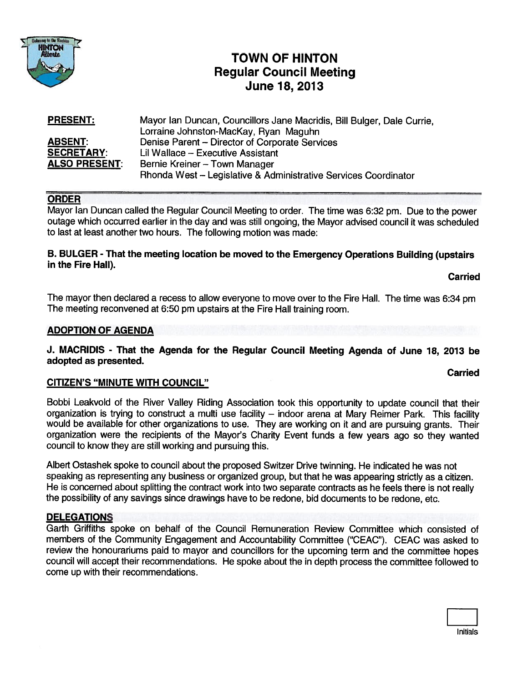

# TOWN OF HINTON Regular Council Meeting June 18, 2013

| <b>PRESENT:</b>      | Mayor Ian Duncan, Councillors Jane Macridis, Bill Bulger, Dale Currie, |
|----------------------|------------------------------------------------------------------------|
|                      | Lorraine Johnston-MacKay, Ryan Maguhn                                  |
| <b>ABSENT:</b>       | Denise Parent – Director of Corporate Services                         |
| <b>SECRETARY:</b>    | Lil Wallace - Executive Assistant                                      |
| <b>ALSO PRESENT:</b> | Bernie Kreiner - Town Manager                                          |
|                      | Rhonda West - Legislative & Administrative Services Coordinator        |

# ORDER

Mayor Ian Duncan called the Regular Council Meeting to order. The time was 6:32 pm. Due to the power outage which occurred earlier in the day and was still ongoing, the Mayor advised council it was scheduled to last at least another two hours. The following motion was made:

### B. BULGER - That the meeting location be moved to the Emergency Operations Building (upstairs in the Fire Hall).

Carried

Carried

The mayor then declared <sup>a</sup> recess to allow everyone to move over to the Fire Hall. The time was 6:34 pm The meeting reconvened at 6:50 pm upstairs at the Fire Hall training room.

### ADOPTION OF AGENDA

#### J. MACRIDIS - That the Agenda for the Regular Council Meeting Agenda of June 18, 2013 be adopted as presented.

#### CITIZEN'S "MINUTE WITH COUNCIL"

Bobbi Leakvold of the River Valley Riding Association took this opportunity to update council that their organization is trying to construct <sup>a</sup> multi use facility — indoor arena at Mary Reimer Park. This facility would be available for other organizations to use. They are working on it and are pursuing grants. Their organization were the recipients of the Mayor's Charity Event funds <sup>a</sup> few years ago so they wanted council to know they are still working and pursuing this.

Albert Ostashek spoke to council about the proposed Switzer Drive twinning. He indicated he was not speaking as representing any business or organized group, but that he was appearing strictly as <sup>a</sup> citizen. He is concerned about splitting the contract work into two separate contracts as he feels there is not really the possibility of any savings since drawings have to be redone, bid documents to be redone, etc.

#### DELEGATIONS

Garth Griftiths spoke on behalf of the Council Remuneration Review Committee which consisted of members of the Community Engagement and Accountability Committee ("CEAC"). CEAC was asked to review the honourariums paid to mayor and councillors for the upcoming term and the committee hopes council will accep<sup>t</sup> their recommendations. He spoke about the in depth process the committee followed to come up with their recommendations.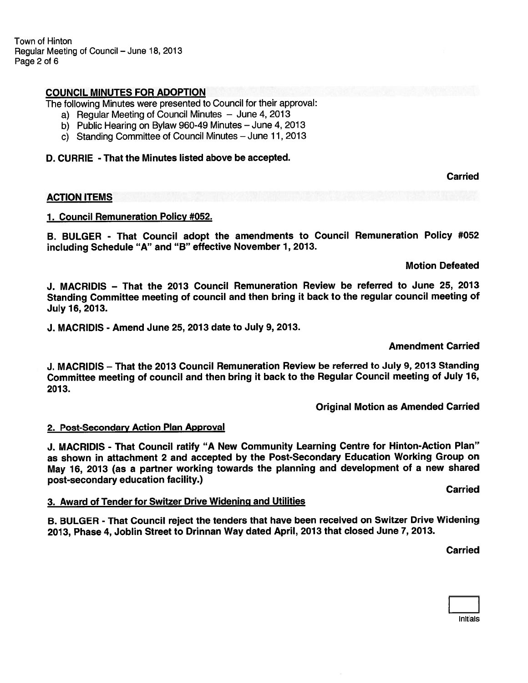Town of Hinton Regular Meeting of Council — June 18, 2013 Page 2 of 6

#### COUNCIL MINUTES FOR ADOPTION

The following Minutes were presented to Council for their approval:

- a) Regular Meeting of Council Minutes June 4, 2013
- b) Public Hearing on Bylaw 960-49 Minutes June 4, 2013
- c) Standing Committee of Council Minutes June 11, <sup>2013</sup>

#### D. CURRIE - That the Minutes listed above be accepted.

Carried

#### ACTION ITEMS

#### 1. Council Remuneration Policy #052.

B. BULGER - That Council adopt the amendments to Council Remuneration Policy #052 including Schedule "A" and "B" effective November 1, 2013.

Motion Defeated

J. MACRIDIS — That the 2013 Council Remuneration Review be referred to June 25, 2013 Standing Committee meeting of council and then bring it back to the regular council meeting of July 16, 2013.

J. MACRIDIS - Amend June 25, 2013 date to July 9, 2013.

Amendment Carried

J. MACRIDIS — That the 2013 Council Remuneration Review be referred to July 9, 2013 Standing Committee meeting of council and then bring it back to the Regular Council meeting of July 16, 2013.

Original Motion as Amended Carried

#### 2. Post-Secondary Action Plan Approval

J. MACRIDIS - That Council ratify "A New Community Learning Centre for Hinton-Action Plan" as shown in attachment <sup>2</sup> and accepted by the Post-Secondary Education Working Group on May 16, <sup>2013</sup> (as <sup>a</sup> partner working towards the <sup>p</sup>lanning and development of <sup>a</sup> new shared post-secondary education facility.)

#### 3. Award of Tender for Switzer Drive Widening and Utilities

B. BULGER - That Council reject the tenders that have been received on Switzer Drive Widening 2013, Phase 4, Joblin Street to Drinnan Way dated April, 2013 that closed June 7, 2013.

Carried

Carried

Initials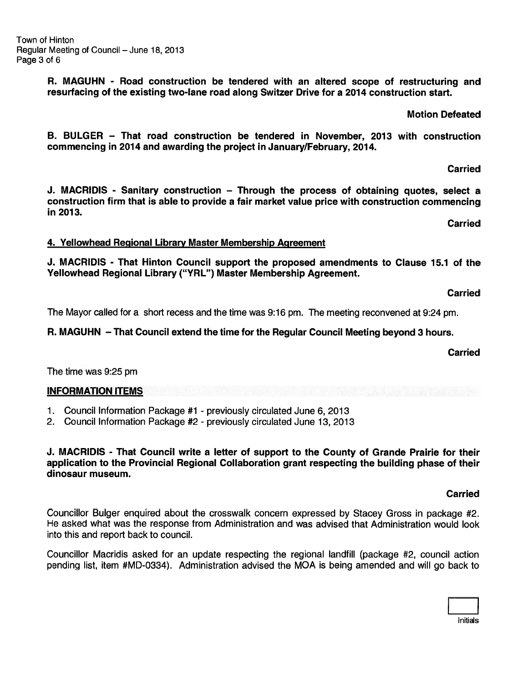Initials

Town of Hinton Regular Meeting of Council — June 18, 2013 Page 3 of 6

> R. MAGUHN - Road construction be tendered with an altered scope of restructuring and resurfacing of the existing two-lane road along Switzer Drive for <sup>a</sup> 2014 construction start.

> > Motion Defeated

B. BULGER — That road construction be tendered in November, 2013 with construction commencing in 2014 and awarding the project in January/February, 2014.

J. MACRIDIS - Sanitary construction — Through the process of obtaining quotes, select <sup>a</sup> construction firm that is able to provide <sup>a</sup> fair market value price with construction commencing in 2013.

4. Yellowhead Regional Library Master Membership Agreement

J. MACRIDIS - That Hinton Council suppor<sup>t</sup> the proposed amendments to Clause 15.1 of the Yellowhead Regional Library ("YRL") Master Membership Agreement.

Carried

Carried

Carried

The Mayor called for <sup>a</sup> short recess and the time was 9:16 pm. The meeting reconvened at 9:24 pm.

R. MAGUHN — That Council extend the time for the Regular Council Meeting beyond 3 hours.

Carried

The time was 9:25 pm

# INFORMATION ITEMS

- 1. Council Information Package #1 previously circulated June 6, 2013
- 2. Council Information Package #2 previously circulated June 13, 2013

# J. MACRIDIS - That Council write <sup>a</sup> letter of suppor<sup>t</sup> to the County of Grande Prairie for their application to the Provincial Regional Collaboration gran<sup>t</sup> respecting the building phase of their dinosaur museum.

# Carried

Councillor Bulger enquired about the crosswalk concern expressed by Stacey Gross in package #2. He asked what was the response from Administration and was advised that Administration would look into this and repor<sup>t</sup> back to council.

Councillor Macridis asked for an update respecting the regional landfill (package #2, council action pending list, item #MD-0334). Administration advised the MOA is being amended and will go back to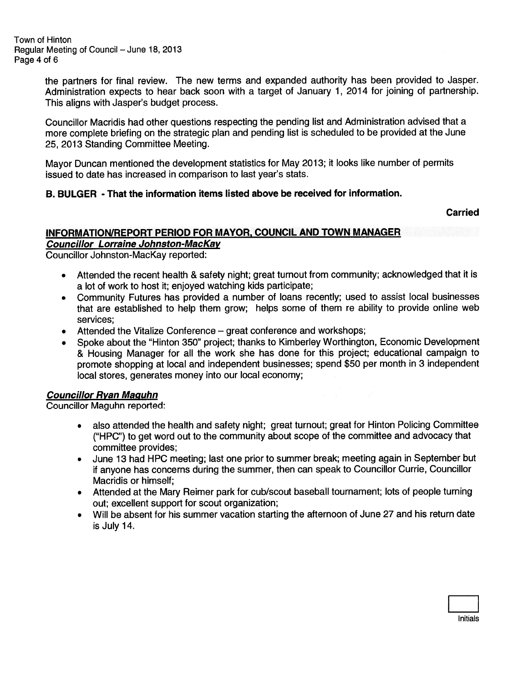the partners for final review. The new terms and expanded authority has been provided to Jasper. Administration expects to hear back soon with <sup>a</sup> target of January 1, <sup>2014</sup> for joining of partnership. This aligns with Jasper's budget process.

Councillor Macridis had other questions respecting the pending list and Administration advised that <sup>a</sup> more complete briefing on the strategic <sup>p</sup>lan and pending list is scheduled to be provided at the June 25, 2013 Standing Committee Meeting.

Mayor Duncan mentioned the development statistics for May 2013; it looks like number of permits issued to date has increased in comparison to last year's stats.

### B. BULGER -That the information items listed above be received for information.

### Carried

#### INFORMATION/REPORT PERIOD FOR MAYOR, COUNCIL AND TOWN MANAGER Councillor Lorraine Johnston-Mackay

Councillor Johnston-Mackay reported:

- • Attended the recent health & safety night; grea<sup>t</sup> turnout from community; acknowledged that it is <sup>a</sup> lot of work to host it; enjoyed watching kids participate;
- Community Futures has provided <sup>a</sup> number of loans recently; used to assist local businesses that are established to help them grow; helps some of them re ability to provide online web services;
- •Attended the Vitalize Conference — grea<sup>t</sup> conference and workshops;
- Spoke about the "Hinton 350" project; thanks to Kimberley Worthington, Economic Development & Housing Manager for all the work she has done for this project; educational campaign to promote shopping at local and independent businesses; spen<sup>d</sup> \$50 per month in <sup>3</sup> independent local stores, generates money into our local economy;

# Councillor Ryan Maguhn

Councillor Maguhn reported:

- • also attended the health and safety night; grea<sup>t</sup> turnout; grea<sup>t</sup> for Hinton Policing Committee ("HPC") to ge<sup>t</sup> word out to the community about scope of the committee and advocacy that committee provides:
- • June 13 had HPC meeting; last one prior to summer break; meeting again in September but if anyone has concerns during the summer, then can spea<sup>k</sup> to Councillor Currie, Councillor Macridis or himself;
- Attended at the Mary Reimer par<sup>k</sup> for cub/scout baseball tournament; lots of people turning out; excellent suppor<sup>t</sup> for scout organization;
- Will be absent for his summer vacation starting the afternoon of June 27 and his return date is July 14.

Initials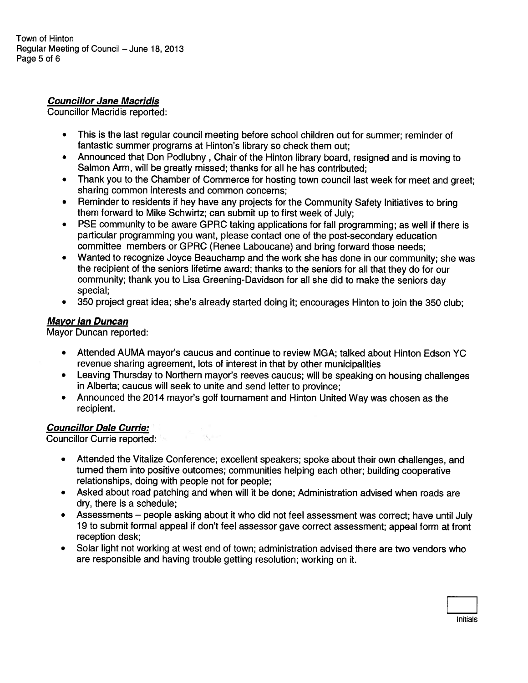# Councillor Jane Macridis

Councillor Macridis reported:

- • This is the last regular council meeting before school children out for summer; reminder of fantastic summer programs at Hinton's library so check them out;
- Announced that Don Podlubny , Chair of the Hinton library board, resigned and is moving to Salmon Arm, will be greatly missed; thanks for all he has contributed;
- • Thank you to the Chamber of Commerce for hosting town council last week for meet and greet; sharing common interests and common concerns;
- • Reminder to residents if hey have any projects for the Community Safety Initiatives to bring them forward to Mike Schwirtz; can submit up to first week of July;
- PSE community to be aware GPRC taking applications for fall programming; as well if there is particular programming you want, <sup>p</sup>lease contact one of the post-secondary education committee members or GPRC (Renee Laboucane) and bring forward those needs;
- • Wanted to recognize Joyce Beauchamp and the work she has done in our community; she was the recipient of the seniors lifetime award; thanks to the seniors for all that they do for our community; thank you to Lisa Greening-Davidson for all she did to make the seniors day special;
- $\bullet$ 350 project grea<sup>t</sup> idea; she's already started doing it; encourages Hinton to join the 350 club;

# Mayor Ian Duncan

Mayor Duncan reported:

- Attended AUMA mayor's caucus and continue to review MGA; talked about Hinton Edson YC revenue sharing agreement, lots of interest in that by other municipalities
- • Leaving Thursday to Northern mayor's reeves caucus; will be speaking on housing challenges in Alberta; caucus will seek to unite and send letter to province;
- • Announced the 2014 mayor's golf tournament and Hinton United Way was chosen as the recipient.

# **Councillor Dale Currie:**

Councillor Currie reported:

- • Attended the Vitalize Conference; excellent speakers; spoke about their own challenges, and turned them into positive outcomes; communities helping each other; building cooperative relationships, doing with people not for people;
- • Asked about road patching and when will it be done; Administration advised when roads are dry, there is <sup>a</sup> schedule;
- • Assessments — people asking about it who did not feel assessment was correct; have until July 19 to submit formal appea<sup>l</sup> if don't feel assessor gave correct assessment; appea<sup>l</sup> form at front reception desk;
- • Solar light not working at west end of town; administration advised there are two vendors who are responsible and having trouble getting resolution; working on it.